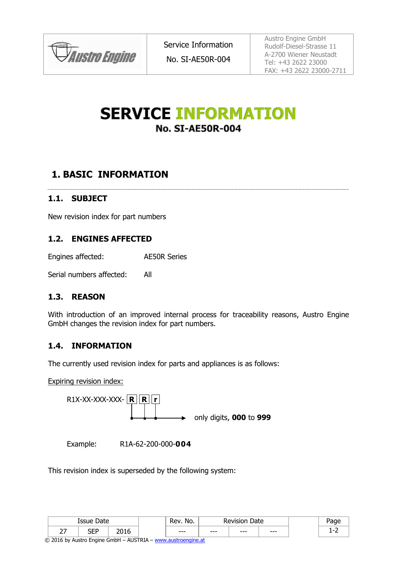

Service Information No. SI-AE50R-004

Austro Engine GmbH Rudolf-Diesel-Strasse 11 A-2700 Wiener Neustadt Tel: +43 2622 23000 FAX: +43 2622 23000-2711

# **SERVICE INFORMATION No. SI-AE50R-004**

## **1. BASIC INFORMATION**

### **1.1. SUBJECT**

New revision index for part numbers

#### **1.2. ENGINES AFFECTED**

Engines affected: AE50R Series

Serial numbers affected: All

#### **1.3. REASON**

With introduction of an improved internal process for traceability reasons, Austro Engine GmbH changes the revision index for part numbers.

#### **1.4. INFORMATION**

The currently used revision index for parts and appliances is as follows:

Expiring revision index:



Example: R1A-62-200-000-**004**

This revision index is superseded by the following system:

| Date<br>0.011<br>ייככו   |          | No.<br>'ev  | Date  |      |      |      |   |
|--------------------------|----------|-------------|-------|------|------|------|---|
| $\overline{\phantom{0}}$ | םחו<br>ᆚ | 2015<br>טבי | $---$ | $--$ | $--$ | $--$ | - |

© 2016 by Austro Engine GmbH – AUSTRIA – [www.austroengine.at](http://www.austroengine.at/)